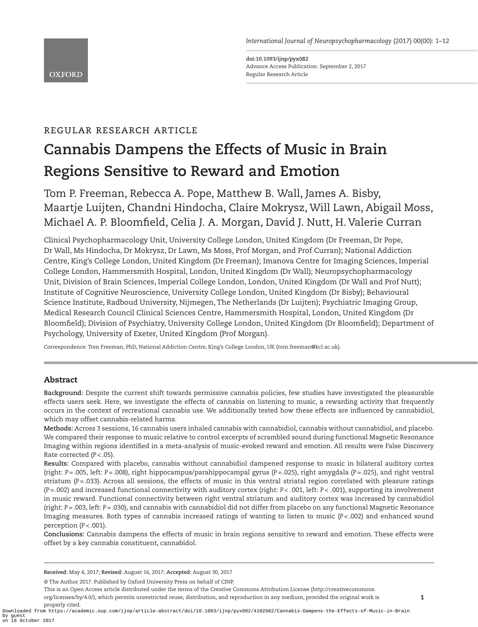*International Journal of Neuropsychopharmacology* (2017) 00(00): 1–12

**doi:10.1093/ijnp/pyx082** Advance Access Publication: September 2, 2017 Regular Research Article

# regular research article

# **Cannabis Dampens the Effects of Music in Brain Regions Sensitive to Reward and Emotion**

Tom P. Freeman, Rebecca A. Pope, Matthew B. Wall, James A. Bisby, Maartje Luijten, Chandni Hindocha, Claire Mokrysz, Will Lawn, Abigail Moss, Michael A. P. Bloomfield, Celia J. A. Morgan, David J. Nutt, H. Valerie Curran

Clinical Psychopharmacology Unit, University College London, United Kingdom (Dr Freeman, Dr Pope, Dr Wall, Ms Hindocha, Dr Mokrysz, Dr Lawn, Ms Moss, Prof Morgan, and Prof Curran); National Addiction Centre, King's College London, United Kingdom (Dr Freeman); Imanova Centre for Imaging Sciences, Imperial College London, Hammersmith Hospital, London, United Kingdom (Dr Wall); Neuropsychopharmacology Unit, Division of Brain Sciences, Imperial College London, London, United Kingdom (Dr Wall and Prof Nutt); Institute of Cognitive Neuroscience, University College London, United Kingdom (Dr Bisby); Behavioural Science Institute, Radboud University, Nijmegen, The Netherlands (Dr Luijten); Psychiatric Imaging Group, Medical Research Council Clinical Sciences Centre, Hammersmith Hospital, London, United Kingdom (Dr Bloomfield); Division of Psychiatry, University College London, United Kingdom (Dr Bloomfield); Department of Psychology, University of Exeter, United Kingdom (Prof Morgan).

Correspondence: Tom Freeman, PhD, National Addiction Centre, King's College London, UK (tom.freeman@kcl.ac.uk).

# Abstract

**Background:** Despite the current shift towards permissive cannabis policies, few studies have investigated the pleasurable effects users seek. Here, we investigate the effects of cannabis on listening to music, a rewarding activity that frequently occurs in the context of recreational cannabis use. We additionally tested how these effects are influenced by cannabidiol, which may offset cannabis-related harms.

**Methods:** Across 3 sessions, 16 cannabis users inhaled cannabis with cannabidiol, cannabis without cannabidiol, and placebo. We compared their response to music relative to control excerpts of scrambled sound during functional Magnetic Resonance Imaging within regions identified in a meta-analysis of music-evoked reward and emotion. All results were False Discovery Rate corrected (*P<*.05).

**Results:** Compared with placebo, cannabis without cannabidiol dampened response to music in bilateral auditory cortex (right: *P=*.005, left: *P=*.008), right hippocampus/parahippocampal gyrus (*P=*.025), right amygdala (*P=*.025), and right ventral striatum (*P=*.033). Across all sessions, the effects of music in this ventral striatal region correlated with pleasure ratings (*P=*.002) and increased functional connectivity with auditory cortex (right: *P*< .001, left: *P*< .001), supporting its involvement in music reward. Functional connectivity between right ventral striatum and auditory cortex was increased by cannabidiol (right: *P=*.003, left: *P=*.030), and cannabis with cannabidiol did not differ from placebo on any functional Magnetic Resonance Imaging measures. Both types of cannabis increased ratings of wanting to listen to music (*P<*.002) and enhanced sound perception (*P<*.001).

**Conclusions:** Cannabis dampens the effects of music in brain regions sensitive to reward and emotion. These effects were offset by a key cannabis constituent, cannabidol.

This is an Open Access article distributed under the terms of the Creative Commons Attribution License (http://creativecommons. org/licenses/by/4.0/), which permits unrestricted reuse, distribution, and reproduction in any medium, provided the original work is properly cited.

Downloaded from https://academic.oup.com/ijnp/article-abstract/doi/10.1093/ijnp/pyx082/4102982/Cannabis-Dampens-the-Effects-of-Music-in-Brain by guest on 16 October 2017

**Received:** May 4, 2017; **Revised:** August 16, 2017; **Accepted:** August 30, 2017

<sup>©</sup> The Author 2017. Published by Oxford University Press on behalf of CINP.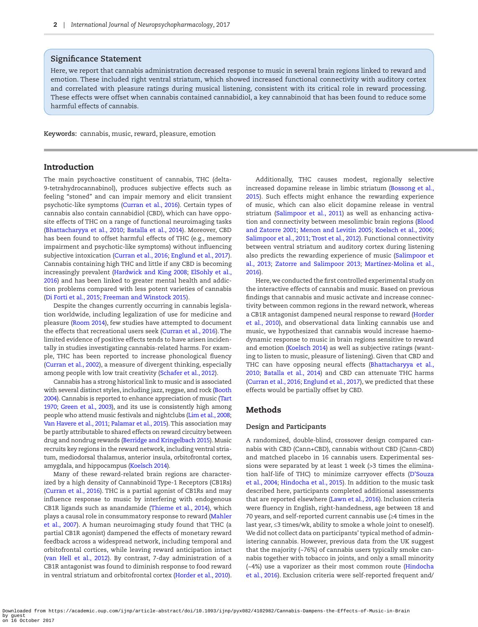# **Significance Statement**

Here, we report that cannabis administration decreased response to music in several brain regions linked to reward and emotion. These included right ventral striatum, which showed increased functional connectivity with auditory cortex and correlated with pleasure ratings during musical listening, consistent with its critical role in reward processing. These effects were offset when cannabis contained cannabidiol, a key cannabinoid that has been found to reduce some harmful effects of cannabis.

**Keywords:** cannabis, music, reward, pleasure, emotion

## Introduction

The main psychoactive constituent of cannabis, THC (delta-9-tetrahydrocannabinol), produces subjective effects such as feeling "stoned" and can impair memory and elicit transient psychotic-like symptoms [\(Curran et al., 2016\)](#page-10-0). Certain types of cannabis also contain cannabidiol (CBD), which can have opposite effects of THC on a range of functional neuroimaging tasks ([Bhattacharyya et al., 2010](#page-9-0); [Batalla et al., 2014](#page-9-1)). Moreover, CBD has been found to offset harmful effects of THC (e.g., memory impairment and psychotic-like symptoms) without influencing subjective intoxication ([Curran et al., 2016](#page-10-0); [Englund et al., 2017](#page-10-1)). Cannabis containing high THC and little if any CBD is becoming increasingly prevalent [\(Hardwick and King 2008](#page-10-2); [ElSohly et al.,](#page-10-3)  [2016](#page-10-3)) and has been linked to greater mental health and addiction problems compared with less potent varieties of cannabis ([Di Forti et al., 2015;](#page-10-4) [Freeman and Winstock 2015](#page-10-5)).

Despite the changes currently occurring in cannabis legislation worldwide, including legalization of use for medicine and pleasure ([Room 2014\)](#page-11-0), few studies have attempted to document the effects that recreational users seek [\(Curran et al., 2016\)](#page-10-0). The limited evidence of positive effects tends to have arisen incidentally in studies investigating cannabis-related harms. For example, THC has been reported to increase phonological fluency ([Curran et al., 2002\)](#page-10-6), a measure of divergent thinking, especially among people with low trait creativity ([Schafer et al., 2012\)](#page-11-1).

Cannabis has a strong historical link to music and is associated with several distinct styles, including jazz, reggae, and rock ([Booth](#page-9-2)  [2004\)](#page-9-2). Cannabis is reported to enhance appreciation of music [\(Tart](#page-11-2)  [1970;](#page-11-2) [Green et al., 2003](#page-10-7)), and its use is consistently high among people who attend music festivals and nightclubs [\(Lim et al., 2008;](#page-10-8) [Van Havere et al., 2011;](#page-11-3) [Palamar et al., 2015](#page-10-9)). This association may be partly attributable to shared effects on reward circuitry between drug and nondrug rewards [\(Berridge and Kringelbach 2015\)](#page-9-3). Music recruits key regions in the reward network, including ventral striatum, mediodorsal thalamus, anterior insula, orbitofrontal cortex, amygdala, and hippocampus [\(Koelsch 2014](#page-10-10)).

Many of these reward-related brain regions are characterized by a high density of Cannabinoid Type-1 Receptors (CB1Rs) ([Curran et al., 2016\)](#page-10-0). THC is a partial agonist of CB1Rs and may influence response to music by interfering with endogenous CB1R ligands such as anandamide [\(Thieme et al., 2014](#page-11-4)), which plays a causal role in consummatory response to reward ([Mahler](#page-10-11)  [et al., 2007](#page-10-11)). A human neuroimaging study found that THC (a partial CB1R agonist) dampened the effects of monetary reward feedback across a widespread network, including temporal and orbitofrontal cortices, while leaving reward anticipation intact ([van Hell et al., 2012](#page-11-5)). By contrast, 7-day administration of a CB1R antagonist was found to diminish response to food reward in ventral striatum and orbitofrontal cortex [\(Horder et al., 2010](#page-10-12)).

Additionally, THC causes modest, regionally selective increased dopamine release in limbic striatum ([Bossong et al.,](#page-10-13)  [2015](#page-10-13)). Such effects might enhance the rewarding experience of music, which can also elicit dopamine release in ventral striatum [\(Salimpoor et al., 2011](#page-11-6)) as well as enhancing activation and connectivity between mesolimbic brain regions ([Blood](#page-9-4)  [and Zatorre 2001;](#page-9-4) [Menon and Levitin 2005](#page-10-14); [Koelsch et al., 2006;](#page-10-15) [Salimpoor et al., 2011;](#page-11-6) [Trost et al., 2012\)](#page-11-7). Functional connectivity between ventral striatum and auditory cortex during listening also predicts the rewarding experience of music ([Salimpoor et](#page-11-8)  [al., 2013](#page-11-8); [Zatorre and Salimpoor 2013](#page-11-9); [Martínez-Molina et al.,](#page-10-16)  [2016](#page-10-16)).

Here, we conducted the first controlled experimental study on the interactive effects of cannabis and music. Based on previous findings that cannabis and music activate and increase connectivity between common regions in the reward network, whereas a CB1R antagonist dampened neural response to reward [\(Horder](#page-10-12)  [et al., 2010\)](#page-10-12), and observational data linking cannabis use and music, we hypothesized that cannabis would increase haemodynamic response to music in brain regions sensitive to reward and emotion ([Koelsch 2014](#page-10-10)) as well as subjective ratings (wanting to listen to music, pleasure of listening). Given that CBD and THC can have opposing neural effects ([Bhattacharyya et al.,](#page-9-0)  [2010](#page-9-0); [Batalla et al., 2014](#page-9-1)) and CBD can attenuate THC harms ([Curran et al., 2016](#page-10-0); [Englund et al., 2017\)](#page-10-1), we predicted that these effects would be partially offset by CBD.

# Methods

## **Design and Participants**

A randomized, double-blind, crossover design compared cannabis with CBD (Cann+CBD), cannabis without CBD (Cann-CBD) and matched placebo in 16 cannabis users. Experimental sessions were separated by at least 1 week (>3 times the elimination half-life of THC) to minimize carryover effects ([D'Souza](#page-10-17)  [et al., 2004;](#page-10-17) [Hindocha et al., 2015\)](#page-10-18). In addition to the music task described here, participants completed additional assessments that are reported elsewhere [\(Lawn et al., 2016](#page-10-19)). Inclusion criteria were fluency in English, right-handedness, age between 18 and 70 years, and self-reported current cannabis use (≥4 times in the last year, ≤3 times/wk, ability to smoke a whole joint to oneself). We did not collect data on participants' typical method of administering cannabis. However, previous data from the UK suggest that the majority (~76%) of cannabis users typically smoke cannabis together with tobacco in joints, and only a small minority (~4%) use a vaporizer as their most common route [\(Hindocha](#page-10-20)  [et al., 2016\)](#page-10-20). Exclusion criteria were self-reported frequent and/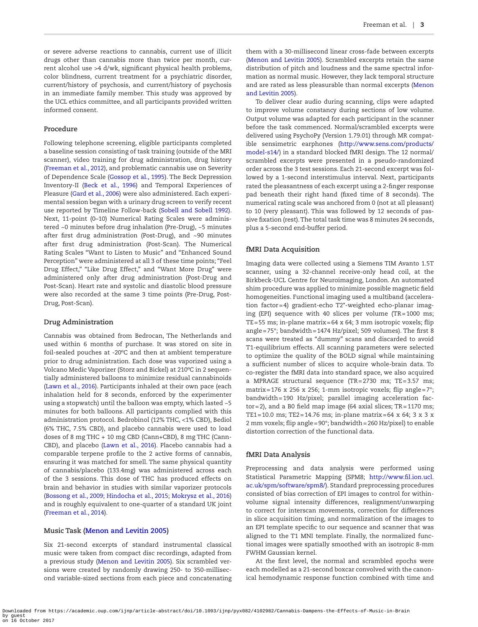or severe adverse reactions to cannabis, current use of illicit drugs other than cannabis more than twice per month, current alcohol use >4 d/wk, significant physical health problems, color blindness, current treatment for a psychiatric disorder, current/history of psychosis, and current/history of psychosis in an immediate family member. This study was approved by the UCL ethics committee, and all participants provided written informed consent.

### **Procedure**

Following telephone screening, eligible participants completed a baseline session consisting of task training (outside of the MRI scanner), video training for drug administration, drug history ([Freeman et al., 2012\)](#page-10-21), and problematic cannabis use on Severity of Dependence Scale ([Gossop et al., 1995](#page-10-22)). The Beck Depression Inventory-II ([Beck et al., 1996](#page-9-5)) and Temporal Experiences of Pleasure [\(Gard et al., 2006](#page-10-23)) were also administered. Each experimental session began with a urinary drug screen to verify recent use reported by Timeline Follow-back [\(Sobell and Sobell 1992](#page-11-10)). Next, 11-point (0–10) Numerical Rating Scales were administered ~0 minutes before drug inhalation (Pre-Drug), ~5 minutes after first drug administration (Post-Drug), and ~90 minutes after first drug administration (Post-Scan). The Numerical Rating Scales "Want to Listen to Music" and "Enhanced Sound Perception" were administered at all 3 of these time points; "Feel Drug Effect," "Like Drug Effect," and "Want More Drug" were administered only after drug administration (Post-Drug and Post-Scan). Heart rate and systolic and diastolic blood pressure were also recorded at the same 3 time points (Pre-Drug, Post-Drug, Post-Scan).

## **Drug Administration**

Cannabis was obtained from Bedrocan, The Netherlands and used within 6 months of purchase. It was stored on site in foil-sealed pouches at -20ºC and then at ambient temperature prior to drug administration. Each dose was vaporized using a Volcano Medic Vaporizer (Storz and Bickel) at 210ºC in 2 sequentially administered balloons to minimize residual cannabinoids ([Lawn et al., 2016](#page-10-19)). Participants inhaled at their own pace (each inhalation held for 8 seconds, enforced by the experimenter using a stopwatch) until the balloon was empty, which lasted ~5 minutes for both balloons. All participants complied with this administration protocol. Bedrobinol (12% THC, <1% CBD), Bediol (6% THC, 7.5% CBD), and placebo cannabis were used to load doses of 8 mg THC + 10 mg CBD (Cann+CBD), 8 mg THC (Cann-CBD), and placebo ([Lawn et al., 2016](#page-10-19)). Placebo cannabis had a comparable terpene profile to the 2 active forms of cannabis, ensuring it was matched for smell. The same physical quantity of cannabis/placebo (133.4mg) was administered across each of the 3 sessions. This dose of THC has produced effects on brain and behavior in studies with similar vaporizer protocols ([Bossong et al., 2009;](#page-9-6) [Hindocha et al., 2015;](#page-10-18) [Mokrysz et al., 2016](#page-10-0)) and is roughly equivalent to one-quarter of a standard UK joint [\(Freeman et al., 2014\)](#page-10-24).

## **Music Task [\(Menon and Levitin 2005\)](#page-10-14)**

Six 21-second excerpts of standard instrumental classical music were taken from compact disc recordings, adapted from a previous study ([Menon and Levitin 2005](#page-10-14)). Six scrambled versions were created by randomly drawing 250- to 350-millisecond variable-sized sections from each piece and concatenating them with a 30-millisecond linear cross-fade between excerpts ([Menon and Levitin 2005\)](#page-10-14). Scrambled excerpts retain the same distribution of pitch and loudness and the same spectral information as normal music. However, they lack temporal structure and are rated as less pleasurable than normal excerpts [\(Menon](#page-10-14)  [and Levitin 2005\)](#page-10-14).

To deliver clear audio during scanning, clips were adapted to improve volume constancy during sections of low volume. Output volume was adapted for each participant in the scanner before the task commenced. Normal/scrambled excerpts were delivered using PsychoPy (Version 1.79.01) through MR compatible sensimetric earphones ([http://www.sens.com/products/](http://www.sens.com/products/model-s14/) [model-s14/\)](http://www.sens.com/products/model-s14/) in a standard blocked fMRI design. The 12 normal/ scrambled excerpts were presented in a pseudo-randomized order across the 3 test sessions. Each 21-second excerpt was followed by a 1-second interstimulus interval. Next, participants rated the pleasantness of each excerpt using a 2-finger response pad beneath their right hand (fixed time of 8 seconds). The numerical rating scale was anchored from 0 (not at all pleasant) to 10 (very pleasant). This was followed by 12 seconds of passive fixation (rest). The total task time was 8 minutes 24 seconds, plus a 5-second end-buffer period.

#### **fMRI Data Acquisition**

Imaging data were collected using a Siemens TIM Avanto 1.5T scanner, using a 32-channel receive-only head coil, at the Birkbeck-UCL Centre for Neuroimaging, London. An automated shim procedure was applied to minimize possible magnetic field homogeneities. Functional imaging used a multiband (acceleration factor=4) gradient-echo T2\*-weighted echo-planar imaging (EPI) sequence with 40 slices per volume (TR=1000 ms; TE=55 ms; in-plane matrix=64 x 64; 3 mm isotropic voxels; flip angle=75°; bandwidth=1474 Hz/pixel; 509 volumes). The first 8 scans were treated as "dummy" scans and discarded to avoid T1-equilibrium effects. All scanning parameters were selected to optimize the quality of the BOLD signal while maintaining a sufficient number of slices to acquire whole-brain data. To co-register the fMRI data into standard space, we also acquired a MPRAGE structural sequence (TR=2730 ms; TE=3.57 ms; matrix=176 x 256 x 256; 1-mm isotropic voxels; flip angle=7°; bandwidth=190 Hz/pixel; parallel imaging acceleration factor=2), and a B0 field map image (64 axial slices;  $TR = 1170$  ms; TE1=10.0 ms; TE2=14.76 ms; in-plane matrix=64 x 64; 3 x 3 x 2 mm voxels; flip angle=90°; bandwidth=260 Hz/pixel) to enable distortion correction of the functional data.

## **fMRI Data Analysis**

Preprocessing and data analysis were performed using Statistical Parametric Mapping (SPM8; [http://www.fil.ion.ucl.](http://www.fil.ion.ucl.ac.uk/spm/software/spm8/) [ac.uk/spm/software/spm8/](http://www.fil.ion.ucl.ac.uk/spm/software/spm8/)). Standard preprocessing procedures consisted of bias correction of EPI images to control for withinvolume signal intensity differences, realignment/unwarping to correct for interscan movements, correction for differences in slice acquisition timing, and normalization of the images to an EPI template specific to our sequence and scanner that was aligned to the T1 MNI template. Finally, the normalized functional images were spatially smoothed with an isotropic 8-mm FWHM Gaussian kernel.

At the first level, the normal and scrambled epochs were each modelled as a 21-second boxcar convolved with the canonical hemodynamic response function combined with time and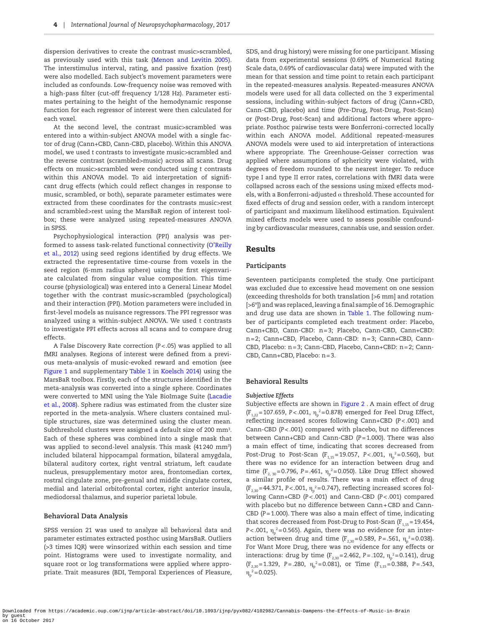dispersion derivatives to create the contrast music>scrambled, as previously used with this task [\(Menon and Levitin 2005](#page-10-14)). The interstimulus interval, rating, and passive fixation (rest) were also modelled. Each subject's movement parameters were included as confounds. Low-frequency noise was removed with a high-pass filter (cut-off frequency 1/128 Hz). Parameter estimates pertaining to the height of the hemodynamic response function for each regressor of interest were then calculated for each voxel.

At the second level, the contrast music>scrambled was entered into a within-subject ANOVA model with a single factor of drug (Cann+CBD, Cann-CBD, placebo). Within this ANOVA model, we used *t* contrasts to investigate music>scrambled and the reverse contrast (scrambled>music) across all scans. Drug effects on music>scrambled were conducted using *t* contrasts within this ANOVA model. To aid interpretation of significant drug effects (which could reflect changes in response to music, scrambled, or both), separate parameter estimates were extracted from these coordinates for the contrasts music>rest and scrambled>rest using the MarsBaR region of interest toolbox; these were analyzed using repeated-measures ANOVA in SPSS.

Psychophysiological interaction (PPI) analysis was performed to assess task-related functional connectivity ([O'Reilly](#page-10-25)  [et al., 2012\)](#page-10-25) using seed regions identified by drug effects. We extracted the representative time-course from voxels in the seed region (6-mm radius sphere) using the first eigenvariate calculated from singular value composition. This time course (physiological) was entered into a General Linear Model together with the contrast music>scrambled (psychological) and their interaction (PPI). Motion parameters were included in first-level models as nuisance regressors. The PPI regressor was analyzed using a within-subject ANOVA. We used *t* contrasts to investigate PPI effects across all scans and to compare drug effects.

A False Discovery Rate correction (*P*<.05) was applied to all fMRI analyses. Regions of interest were defined from a previous meta-analysis of music-evoked reward and emotion (see [Figure 1](#page-4-0) and supplementary [Table 1](#page-5-0) in [Koelsch 2014\)](#page-10-10) using the MarsBaR toolbox. Firstly, each of the structures identified in the meta-analysis was converted into a single sphere. Coordinates were converted to MNI using the Yale BioImage Suite ([Lacadie](#page-10-26)  [et al., 2008](#page-10-26)). Sphere radius was estimated from the cluster size reported in the meta-analysis. Where clusters contained multiple structures, size was determined using the cluster mean. Subthreshold clusters were assigned a default size of 200  $\text{mm}^3$ . Each of these spheres was combined into a single mask that was applied to second-level analysis. This mask (41240 mm3 ) included bilateral hippocampal formation, bilateral amygdala, bilateral auditory cortex, right ventral striatum, left caudate nucleus, presupplementary motor area, frontomedian cortex, rostral cingulate zone, pre-genual and middle cingulate cortex, medial and laterial orbitofrontal cortex, right anterior insula, mediodorsal thalamus, and superior parietal lobule.

#### **Behavioral Data Analysis**

SPSS version 21 was used to analyze all behavioral data and parameter estimates extracted posthoc using MarsBaR. Outliers (>3 times IQR) were winsorized within each session and time point. Histograms were used to investigate normality, and square root or log transformations were applied where appropriate. Trait measures (BDI, Temporal Experiences of Pleasure,

SDS, and drug history) were missing for one participant. Missing data from experimental sessions (0.69% of Numerical Rating Scale data, 0.69% of cardiovascular data) were imputed with the mean for that session and time point to retain each participant in the repeated-measures analysis. Repeated-measures ANOVA models were used for all data collected on the 3 experimental sessions, including within-subject factors of drug (Cann+CBD, Cann-CBD, placebo) and time (Pre-Drug, Post-Drug, Post-Scan) or (Post-Drug, Post-Scan) and additional factors where appropriate. Posthoc pairwise tests were Bonferroni-corrected locally within each ANOVA model. Additional repeated-measures ANOVA models were used to aid interpretation of interactions where appropriate. The Greenhouse-Geisser correction was applied where assumptions of sphericity were violated, with degrees of freedom rounded to the nearest integer. To reduce type I and type II error rates, correlations with fMRI data were collapsed across each of the sessions using mixed effects models, with a Bonferroni-adjusted  $\alpha$  threshold. These accounted for fixed effects of drug and session order, with a random intercept of participant and maximum likelihood estimation. Equivalent mixed effects models were used to assess possible confounding by cardiovascular measures, cannabis use, and session order.

## Results

#### **Participants**

Seventeen participants completed the study. One participant was excluded due to excessive head movement on one session (exceeding thresholds for both translation [>6 mm] and rotation [>6º]) and was replaced, leaving a final sample of 16. Demographic and drug use data are shown in [Table 1](#page-5-0). The following number of participants completed each treatment order: Placebo, Cann+CBD, Cann-CBD: n=3; Placebo, Cann-CBD, Cann+CBD: n=2; Cann+CBD, Placebo, Cann-CBD: n=3; Cann+CBD, Cann-CBD, Placebo: n=3; Cann-CBD, Placebo, Cann+CBD: n=2; Cann-CBD, Cann+CBD, Placebo: n=3.

#### **Behavioral Results**

#### *Subjective Effects*

Subjective effects are shown in [Figure 2](#page-4-1) . A main effect of drug (F<sub>1,22</sub>=107.659, P<.001, η<sub>p</sub><sup>2</sup>=0.878) emerged for Feel Drug Effect, reflecting increased scores following Cann+CBD (*P<*.001) and Cann-CBD (*P<*.001) compared with placebo, but no differences between Cann+CBD and Cann-CBD (*P=*1.000). There was also a main effect of time, indicating that scores decreased from Post-Drug to Post-Scan (F<sub>1,15</sub>=19.057, P<.001, η<sub>p</sub><sup>2</sup>=0.560), but there was no evidence for an interaction between drug and time ( $F_{2, 30}$ =0.796, *P*=.461,  $\eta_p^2$ =0.050). Like Drug Effect showed a similar profile of results. There was a main effect of drug (F<sub>2,30</sub>=44.371, P<.001, η<sub>p</sub><sup>2</sup>=0.747), reflecting increased scores following Cann+CBD (*P<*.001) and Cann-CBD (*P<*.001) compared with placebo but no difference between Cann+CBD and Cann-CBD (*P=*1.000). There was also a main effect of time, indicating that scores decreased from Post-Drug to Post-Scan  $(F_{1,15}=19.454,$ *P<*.001, η $_{\rm p}^{\rm 2}$ =0.565). Again, there was no evidence for an interaction between drug and time ( $F_{2,30} = 0.589$ , *P*=.561,  $\eta_p^2 = 0.038$ ). For Want More Drug, there was no evidence for any effects or interactions: drug by time (F<sub>2,30</sub>=2.462, P=.102, η<sub>p</sub><sup>2</sup>=0.141), drug  $(F_{2,30}=1.329, P=.280, \eta_p^2=0.081), \text{ or Time } (F_{1,15}=0.388, P=.543,$  $\eta_{\rm p}^2$  = 0.025).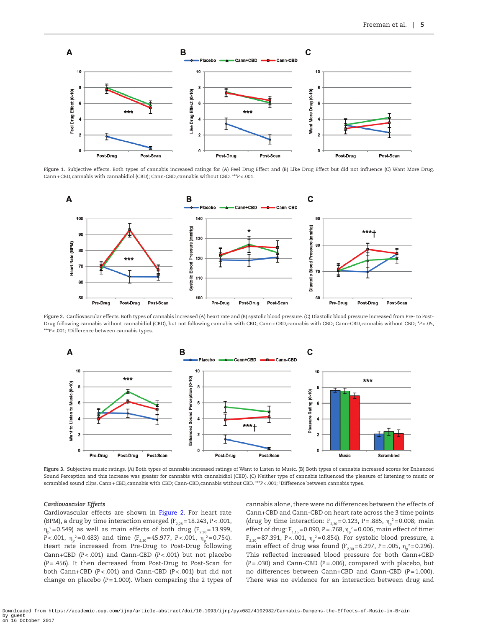

**Figure 1.** Subjective effects. Both types of cannabis increased ratings for (A) Feel Drug Effect and (B) Like Drug Effect but did not influence (C) Want More Drug. Cann+CBD,cannabis with cannabidiol (CBD); Cann-CBD,cannabis without CBD. \*\*\**P*<.001.

<span id="page-4-0"></span>

<span id="page-4-1"></span>**Figure 2.** Cardiovascular effects. Both types of cannabis increased (A) heart rate and (B) systolic blood pressure. (C) Diastolic blood pressure increased from Pre- to Post-Drug following cannabis without cannabidiol (CBD), but not following cannabis with CBD; Cann+CBD,cannabis with CBD; Cann-CBD,cannabis without CBD; \**P*<.05, \*\*\**P*<.001; † Difference between cannabis types.



<span id="page-4-2"></span>**Figure 3.** Subjective music ratings. (A) Both types of cannabis increased ratings of Want to Listen to Music. (B) Both types of cannabis increased scores for Enhanced Sound Perception and this increase was greater for cannabis with cannabidiol (CBD). (C) Neither type of cannabis influenced the pleasure of listening to music or scrambled sound clips. Cann+CBD,cannabis with CBD; Cann-CBD,cannabis without CBD. \*\*\**P*<.001; † Difference between cannabis types.

#### *Cardiovascular Effects*

Cardiovascular effects are shown in [Figure 2.](#page-4-1) For heart rate (BPM), a drug by time interaction emerged  $(F_{2,28}=18.243, P<.001,$  $\eta_{\rm p}^{\ \ 2}$ =0.549) as well as main effects of both drug (F $_{\rm 2,30}$ =13.999, *P*<.001, η<sub>p</sub><sup>2</sup>=0.483) and time (F<sub>2,30</sub>=45.977, P<.001, η<sub>p</sub><sup>2</sup>=0.754). Heart rate increased from Pre-Drug to Post-Drug following Cann+CBD (*P<*.001) and Cann-CBD (*P<*.001) but not placebo (*P=*.456). It then decreased from Post-Drug to Post-Scan for both Cann+CBD (*P<*.001) and Cann-CBD (*P<*.001) but did not change on placebo (*P=*1.000). When comparing the 2 types of

cannabis alone, there were no differences between the effects of Cann+CBD and Cann-CBD on heart rate across the 3 time points (drug by time interaction:  $F_{2,30} = 0.123$ ,  $P = .885$ ,  $\eta_p^2 = 0.008$ ; main effect of drug: F<sub>1,15</sub>=0.090, P=.768, η<sub>p</sub><sup>2</sup>=0.006, main effect of time: F<sub>2,30</sub>=87.391, P<.001, η<sub>p</sub><sup>2</sup>=0.854). For systolic blood pressure, a main effect of drug was found ( $F_{2,30} = 6.297$ , *P* = .005,  $\eta_{p}^2 = 0.296$ ). This reflected increased blood pressure for both Cann+CBD (*P=*.030) and Cann-CBD (*P=*.006), compared with placebo, but no differences between Cann+CBD and Cann-CBD (*P=*1.000). There was no evidence for an interaction between drug and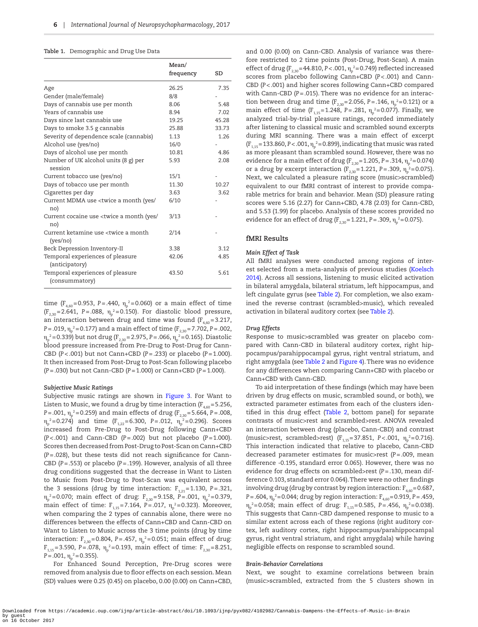## <span id="page-5-0"></span>**Table 1.** Demographic and Drug Use Data

|                                                                     | Mean/<br>frequency | SD    |
|---------------------------------------------------------------------|--------------------|-------|
| Age                                                                 | 26.25              | 7.35  |
| Gender (male/female)                                                | 8/8                |       |
| Days of cannabis use per month                                      | 8.06               | 5.48  |
| Years of cannabis use                                               | 8.94               | 7.02  |
| Days since last cannabis use                                        | 19.25              | 45.28 |
| Days to smoke 3.5 g cannabis                                        | 25.88              | 33.73 |
| Severity of dependence scale (cannabis)                             | 1.13               | 1.26  |
| Alcohol use (yes/no)                                                | 16/0               |       |
| Days of alcohol use per month                                       | 10.81              | 4.86  |
| Number of UK alcohol units (8 g) per<br>session                     | 5.93               | 2.08  |
| Current tobacco use (yes/no)                                        | 15/1               |       |
| Days of tobacco use per month                                       | 11.30              | 10.27 |
| Cigarettes per day                                                  | 3.63               | 3.62  |
| Current MDMA use <twice (yes="" <br="" a="" month="">no)</twice>    | 6/10               |       |
| Current cocaine use <twice (yes="" <br="" a="" month="">no)</twice> | 3/13               |       |
| Current ketamine use <twice a="" month<br="">(yes/no)</twice>       | 2/14               |       |
| Beck Depression Inventory-II                                        | 3.38               | 3.12  |
| Temporal experiences of pleasure<br>(anticipatory)                  | 42.06              | 4.85  |
| Temporal experiences of pleasure<br>(consummatory)                  | 43.50              | 5.61  |

time ( $F_{4,60}$ =0.953, *P*=.440,  $\eta_p^2$ =0.060) or a main effect of time  $(F_{2,30}=2.641, P=.088, \eta_p^2=0.150)$ . For diastolic blood pressure, an interaction between drug and time was found ( $F_{4,60}$ =3.217, *P*=.019, η<sub>p</sub><sup>2</sup>=0.177) and a main effect of time (F<sub>2,30</sub>=7.702, P=.002, η<sub>p</sub><sup>2</sup>=0.339) but not drug (F<sub>2,30</sub>=2.975, P=.066, η<sub>p</sub><sup>2</sup>=0.165). Diastolic blood pressure increased from Pre-Drug to Post-Drug for Cann-CBD (*P<*.001) but not Cann+CBD (*P=*.233) or placebo (*P=*1.000). It then increased from Post-Drug to Post-Scan following placebo (*P=*.030) but not Cann-CBD (*P=*1.000) or Cann+CBD (*P=*1.000).

#### *Subjective Music Ratings*

Subjective music ratings are shown in Figure 3. For Want to Listen to Music, we found a drug by time interaction ( $F_{4,60}$  = 5.256, *P*=.001, η<sub>p</sub><sup>2</sup>=0.259) and main effects of drug (F<sub>2,30</sub>=5.664, P=.008, η<sub>p</sub><sup>2</sup>=0.274) and time (F<sub>1,22</sub>=6.300, P=.012, η<sub>p</sub><sup>2</sup>=0.296). Scores increased from Pre-Drug to Post-Drug following Cann+CBD (*P<*.001) and Cann-CBD (*P=*.002) but not placebo (*P=*1.000). Scores then decreased from Post-Drug to Post-Scan on Cann+CBD (*P=*.028), but these tests did not reach significance for Cann-CBD (*P=*.553) or placebo (*P=*.199). However, analysis of all three drug conditions suggested that the decrease in Want to Listen to Music from Post-Drug to Post-Scan was equivalent across the 3 sessions (drug by time interaction:  $F_{1,21}$ =1.130, *P*=.321, η<sub>p</sub><sup>2</sup>=0.070; main effect of drug: F<sub>2,30</sub>=9.158, P=.001, η<sub>p</sub><sup>2</sup>=0.379, main effect of time: F<sub>1,15</sub>=7.164, P=.017, η<sub>p</sub><sup>2</sup>=0.323). Moreover, when comparing the 2 types of cannabis alone, there were no differences between the effects of Cann+CBD and Cann-CBD on Want to Listen to Music across the 3 time points (drug by time interaction: F<sub>2,30</sub>=0.804, P=.457,  $\eta_{\rm p}^{\ \ 2}$ =0.051; main effect of drug:  $F_{1,15}$ =3.590, *P*=.078,  $\eta_p^2$ =0.193, main effect of time:  $F_{2,30}$ =8.251,  $P = .001, \eta_p^2 = 0.355$ ).

For Enhanced Sound Perception, Pre-Drug scores were removed from analysis due to floor effects on each session. Mean (SD) values were 0.25 (0.45) on placebo, 0.00 (0.00) on Cann+CBD,

and 0.00 (0.00) on Cann-CBD. Analysis of variance was therefore restricted to 2 time points (Post-Drug, Post-Scan). A main effect of drug (F<sub>2,30</sub>=44.810, P<.001, η<sub>p</sub>?=0.749) reflected increased scores from placebo following Cann+CBD (*P<*.001) and Cann-CBD (*P<*.001) and higher scores following Cann+CBD compared with Cann-CBD (*P=*.015). There was no evidence for an interaction between drug and time ( $F_{2,30}$ =2.056, P=.146,  $\eta_{p}$ <sup>2</sup>=0.121) or a main effect of time (F<sub>1,15</sub>=1.248, P=.281,  $\eta_{\rm p}^{\rm \; 2}$ =0.077). Finally, we analyzed trial-by-trial pleasure ratings, recorded immediately after listening to classical music and scrambled sound excerpts during MRI scanning. There was a main effect of excerpt  $(F_{1,15}=133.860, P<.001, \eta_p^2=0.899)$ , indicating that music was rated as more pleasant than scrambled sound. However, there was no evidence for a main effect of drug ( $F_{2,30}$ =1.205, P=.314,  $\eta_{\rm p}^{\ \ 2}$ =0.074) or a drug by excerpt interaction ( $F_{2,30}$ =1.221, *P* = .309,  $\eta_{\rm p}^{\ \, 2}$ =0.075). Next, we calculated a pleasure rating score (music>scrambled) equivalent to our fMRI contrast of interest to provide comparable metrics for brain and behavior. Mean (SD) pleasure rating scores were 5.16 (2.27) for Cann+CBD, 4.78 (2.03) for Cann-CBD, and 5.53 (1.99) for placebo. Analysis of these scores provided no evidence for an effect of drug (F<sub>2,30</sub>=1.221, P=.309,  $\eta_{\rm p}^{\;\;\;\;\;\;2}$ =0.075).

## **fMRI Results**

## *Main Effect of Task*

All fMRI analyses were conducted among regions of interest selected from a meta-analysis of previous studies [\(Koelsch](#page-10-10)  [2014](#page-10-10)). Across all sessions, listening to music elicited activation in bilateral amygdala, bilateral striatum, left hippocampus, and left cingulate gyrus (see [Table 2\)](#page-6-0). For completion, we also examined the reverse contrast (scrambled>music), which revealed activation in bilateral auditory cortex (see [Table 2](#page-6-0)).

### *Drug Effects*

Response to music>scrambled was greater on placebo compared with Cann-CBD in bilateral auditory cortex, right hippocampus/parahippocampal gyrus, right ventral striatum, and right amygdala (see [Table 2](#page-6-0) and [Figure 4\)](#page-6-1). There was no evidence for any differences when comparing Cann+CBD with placebo or Cann+CBD with Cann-CBD.

To aid interpretation of these findings (which may have been driven by drug effects on music, scrambled sound, or both), we extracted parameter estimates from each of the clusters identified in this drug effect [\(Table 2,](#page-6-0) bottom panel) for separate contrasts of music>rest and scrambled>rest. ANOVA revealed an interaction between drug (placebo, Cann-CBD) and contrast (music>rest, scrambled>rest) (F<sub>1,15</sub>=37.851, P<.001, η<sub>p</sub><sup>2</sup>=0.716). This interaction indicated that relative to placebo, Cann-CBD decreased parameter estimates for music>rest (*P=*.009, mean difference -0.195, standard error 0.065). However, there was no evidence for drug effects on scrambled>rest (*P=*.130, mean difference 0.103, standard error 0.064). There were no other findings involving drug (drug by contrast by region interaction:  $F_{4,60}$  = 0.687, *P*=.604, η<sub>p</sub><sup>2</sup>=0.044; drug by region interaction: F<sub>4,60</sub>=0.919, P=.459, η<sub>p</sub><sup>2</sup>=0.058; main effect of drug: F<sub>1,15</sub>=0.585, P=.456, η<sub>p</sub><sup>2</sup>=0.038). This suggests that Cann-CBD dampened response to music to a similar extent across each of these regions (right auditory cortex, left auditory cortex, right hippocampus/parahippocampal gyrus, right ventral striatum, and right amygdala) while having negligible effects on response to scrambled sound.

### *Brain-Behavior Correlations*

Next, we sought to examine correlations between brain (music>scrambled, extracted from the 5 clusters shown in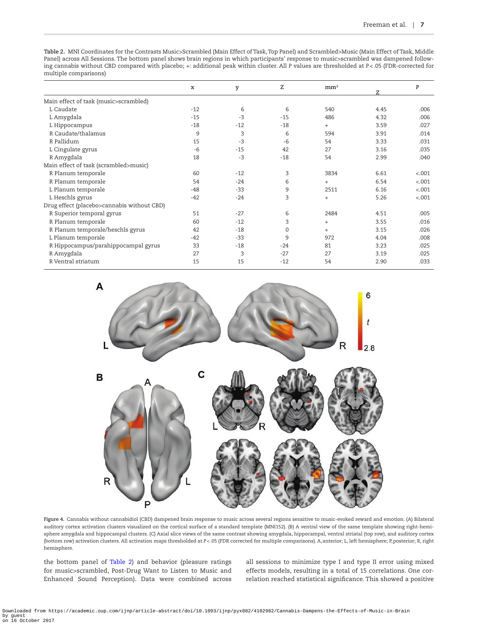<span id="page-6-0"></span>**Table 2.** MNI Coordinates for the Contrasts Music>Scrambled (Main Effect of Task, Top Panel) and Scrambled>Music (Main Effect of Task, Middle Panel) across All Sessions. The bottom panel shows brain regions in which participants' response to music>scrambled was dampened following cannabis without CBD compared with placebo; +: additional peak within cluster. All *P* values are thresholded at *P*<.05 (FDR-corrected for multiple comparisons)

|                                            | $\mathbf x$ | y     | z           | mm <sup>3</sup> |      | P       |
|--------------------------------------------|-------------|-------|-------------|-----------------|------|---------|
|                                            |             |       |             |                 |      |         |
| Main effect of task (music>scrambled)      |             |       |             |                 |      |         |
| L Caudate                                  | $-12$       | 6     | 6           | 540             | 4.45 | .006    |
| L Amygdala                                 | $-15$       | $-3$  | $-15$       | 486             | 4.32 | .006    |
| L Hippocampus                              | $-18$       | $-12$ | $-18$       | $+$             | 3.59 | .027    |
| R Caudate/thalamus                         | 9           | 3     | 6           | 594             | 3.91 | .014    |
| R Pallidum                                 | 15          | $-3$  | $-6$        | 54              | 3.33 | .031    |
| L Cingulate gyrus                          | $-6$        | $-15$ | 42          | 27              | 3.16 | .035    |
| R Amygdala                                 | 18          | $-3$  | $-18$       | 54              | 2.99 | .040    |
| Main effect of task (scrambled>music)      |             |       |             |                 |      |         |
| R Planum temporale                         | 60          | $-12$ | 3           | 3834            | 6.61 | < .001  |
| R Planum temporale                         | 54          | $-24$ | 6           | $^{+}$          | 6.54 | < .001  |
| L Planum temporale                         | $-48$       | $-33$ | 9           | 2511            | 6.16 | < .001  |
| L Heschls gyrus                            | $-42$       | $-24$ | 3           | $\! + \!\!\!\!$ | 5.26 | $-.001$ |
| Drug effect (placebo>cannabis without CBD) |             |       |             |                 |      |         |
| R Superior temporal gyrus                  | 51          | $-27$ | 6           | 2484            | 4.51 | .005    |
| R Planum temporale                         | 60          | $-12$ | 3           | $+$             | 3.55 | .016    |
| R Planum temporale/heschls gyrus           | 42          | $-18$ | $\mathbf 0$ | $+$             | 3.15 | .026    |
| L Planum temporale                         | $-42$       | $-33$ | 9           | 972             | 4.04 | .008    |
| R Hippocampus/parahippocampal gyrus        | 33          | $-18$ | $-24$       | 81              | 3.23 | .025    |
| R Amygdala                                 | 27          | 3     | $-27$       | 27              | 3.19 | .025    |
| R Ventral striatum                         | 15          | 15    | $-12$       | 54              | 2.90 | .033    |



<span id="page-6-1"></span>**Figure 4.** Cannabis without cannabidiol (CBD) dampened brain response to music across several regions sensitive to music-evoked reward and emotion. (A) Bilateral auditory cortex activation clusters visualized on the cortical surface of a standard template (MNI152). (B) A ventral view of the same template showing right-hemisphere amygdala and hippocampal clusters. (C) Axial slice views of the same contrast showing amygdala, hippocampal, ventral striatal (top row), and auditory cortex (bottom row) activation clusters. All activation maps thresholded at *P*<.05 (FDR corrected for multiple comparisons). A,anterior; L, left hemisphere; P,posterior; R, right hemisphere.

the bottom panel of [Table 2](#page-6-0)) and behavior (pleasure ratings for music>scrambled, Post-Drug Want to Listen to Music and Enhanced Sound Perception). Data were combined across

all sessions to minimize type I and type II error using mixed effects models, resulting in a total of 15 correlations. One correlation reached statistical significance. This showed a positive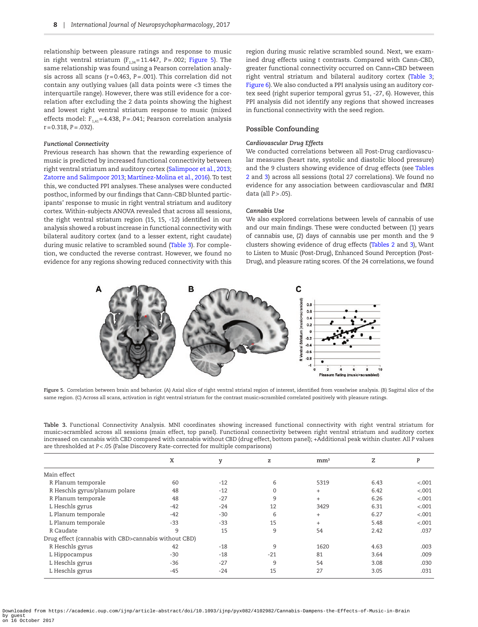relationship between pleasure ratings and response to music in right ventral striatum  $(F_{1,34}=11.447, P=.002;$  [Figure 5\)](#page-7-0). The same relationship was found using a Pearson correlation analysis across all scans (r=0.463, *P=*.001). This correlation did not contain any outlying values (all data points were <3 times the interquartile range). However, there was still evidence for a correlation after excluding the 2 data points showing the highest and lowest right ventral striatum response to music (mixed effects model:  $F_{1,41}$ =4.438, *P*=.041; Pearson correlation analysis r=0.318, *P=*.032).

#### *Functional Connectivity*

Previous research has shown that the rewarding experience of music is predicted by increased functional connectivity between right ventral striatum and auditory cortex ([Salimpoor et al., 2013;](#page-11-8) [Zatorre and Salimpoor 2013;](#page-11-9) [Martínez-Molina et al., 2016](#page-10-16)). To test this, we conducted PPI analyses. These analyses were conducted posthoc, informed by our findings that Cann-CBD blunted participants' response to music in right ventral striatum and auditory cortex. Within-subjects ANOVA revealed that across all sessions, the right ventral striatum region (15, 15, -12) identified in our analysis showed a robust increase in functional connectivity with bilateral auditory cortex (and to a lesser extent, right caudate) during music relative to scrambled sound ([Table 3](#page-7-1)). For completion, we conducted the reverse contrast. However, we found no evidence for any regions showing reduced connectivity with this

region during music relative scrambled sound. Next, we examined drug effects using *t* contrasts. Compared with Cann-CBD, greater functional connectivity occurred on Cann+CBD between right ventral striatum and bilateral auditory cortex ([Table 3;](#page-7-1) [Figure 6](#page-8-0)). We also conducted a PPI analysis using an auditory cortex seed (right superior temporal gyrus 51, -27, 6). However, this PPI analysis did not identify any regions that showed increases in functional connectivity with the seed region.

#### **Possible Confounding**

#### *Cardiovascular Drug Effects*

We conducted correlations between all Post-Drug cardiovascular measures (heart rate, systolic and diastolic blood pressure) and the 9 clusters showing evidence of drug effects (see [Tables](#page-6-0)  [2](#page-6-0) and [3](#page-7-1)) across all sessions (total 27 correlations). We found no evidence for any association between cardiovascular and fMRI data (all *P*>.05).

#### *Cannabis Use*

We also explored correlations between levels of cannabis of use and our main findings. These were conducted between (1) years of cannabis use, (2) days of cannabis use per month and the 9 clusters showing evidence of drug effects [\(Tables 2](#page-6-0) and [3\)](#page-7-1), Want to Listen to Music (Post-Drug), Enhanced Sound Perception (Post-Drug), and pleasure rating scores. Of the 24 correlations, we found



<span id="page-7-0"></span>**Figure 5.** Correlation between brain and behavior. (A) Axial slice of right ventral striatal region of interest, identified from voxelwise analysis. (B) Sagittal slice of the same region. (C) Across all scans, activation in right ventral striatum for the contrast music>scrambled correlated positively with pleasure ratings.

<span id="page-7-1"></span>

| Table 3. Functional Connectivity Analysis. MNI coordinates showing increased functional connectivity with right ventral striatum for         |
|----------------------------------------------------------------------------------------------------------------------------------------------|
| music>scrambled across all sessions (main effect, top panel). Functional connectivity between right ventral striatum and auditory cortex     |
| increased on cannabis with CBD compared with cannabis without CBD (drug effect, bottom panel); +Additional peak within cluster. All P values |
| are thresholded at P<.05 (False Discovery Rate-corrected for multiple comparisons)                                                           |

|                                                      | X     | y     | z     | mm <sup>3</sup> | z    | P      |
|------------------------------------------------------|-------|-------|-------|-----------------|------|--------|
| Main effect                                          |       |       |       |                 |      |        |
| R Planum temporale                                   | 60    | $-12$ | 6     | 5319            | 6.43 | < .001 |
| R Heschls gyrus/planum polare                        | 48    | $-12$ | 0     | $+$             | 6.42 | < .001 |
| R Planum temporale                                   | 48    | $-27$ | 9     | $+$             | 6.26 | < .001 |
| L Heschls gyrus                                      | $-42$ | $-24$ | 12    | 3429            | 6.31 | < .001 |
| L Planum temporale                                   | $-42$ | $-30$ | 6     | $+$             | 6.27 | < .001 |
| L Planum temporale                                   | $-33$ | $-33$ | 15    | $+$             | 5.48 | < .001 |
| R Caudate                                            | 9     | 15    | 9     | 54              | 2.42 | .037   |
| Drug effect (cannabis with CBD>cannabis without CBD) |       |       |       |                 |      |        |
| R Heschls gyrus                                      | 42    | $-18$ | 9     | 1620            | 4.63 | .003   |
| L Hippocampus                                        | $-30$ | $-18$ | $-21$ | 81              | 3.64 | .009   |
| L Heschls gyrus                                      | $-36$ | $-27$ | 9     | 54              | 3.08 | .030   |
| L Heschls gyrus                                      | $-45$ | $-24$ | 15    | 27              | 3.05 | .031   |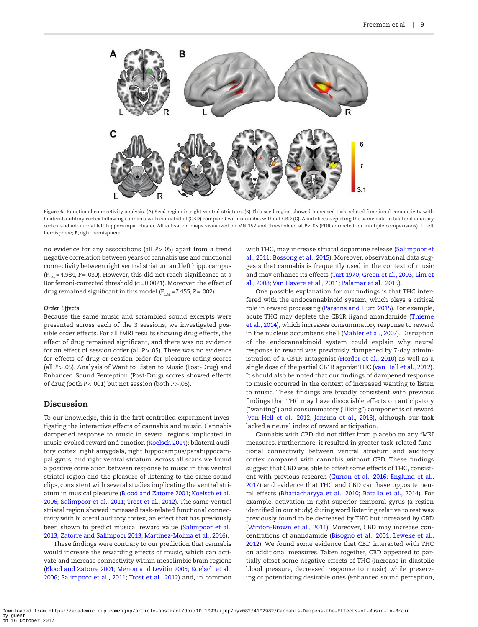

**Figure 6.** Functional connectivity analysis. (A) Seed region in right ventral striatum. (B) This seed region showed increased task-related functional connectivity with bilateral auditory cortex following cannabis with cannabidiol (CBD) compared with cannabis without CBD (C). Axial slices depicting the same data in bilateral auditory cortex and additional left hippocampal cluster. All activation maps visualized on MNI152 and thresholded at *P*<.05 (FDR corrected for multiple comparisons). L, left hemisphere; R,right hemisphere.

no evidence for any associations (all *P*>.05) apart from a trend negative correlation between years of cannabis use and functional connectivity between right ventral striatum and left hippocampus  $(F<sub>1.48</sub>=4.984, P=.030)$ . However, this did not reach significance at a Bonferroni-corrected threshold ( $\alpha$ =0.0021). Moreover, the effect of drug remained significant in this model  $(F_{1.48} = 7.455, P = .002)$ .

#### *Order Effects*

Because the same music and scrambled sound excerpts were presented across each of the 3 sessions, we investigated possible order effects. For all fMRI results showing drug effects, the effect of drug remained significant, and there was no evidence for an effect of session order (all *P*>.05). There was no evidence for effects of drug or session order for pleasure rating scores (all *P*>.05). Analysis of Want to Listen to Music (Post-Drug) and Enhanced Sound Perception (Post-Drug) scores showed effects of drug (both *P*<.001) but not session (both *P*>.05).

# Discussion

To our knowledge, this is the first controlled experiment investigating the interactive effects of cannabis and music. Cannabis dampened response to music in several regions implicated in music-evoked reward and emotion ([Koelsch 2014\)](#page-10-10): bilateral auditory cortex, right amygdala, right hippocampus/parahippocampal gyrus, and right ventral striatum. Across all scans we found a positive correlation between response to music in this ventral striatal region and the pleasure of listening to the same sound clips, consistent with several studies implicating the ventral striatum in musical pleasure [\(Blood and Zatorre 2001;](#page-9-4) [Koelsch et al.,](#page-10-15)  [2006](#page-10-15); [Salimpoor et al., 2011;](#page-11-6) [Trost et al., 2012](#page-11-7)). The same ventral striatal region showed increased task-related functional connectivity with bilateral auditory cortex, an effect that has previously been shown to predict musical reward value [\(Salimpoor et al.,](#page-11-8)  [2013](#page-11-8); [Zatorre and Salimpoor 2013](#page-11-9); [Martínez-Molina et al., 2016](#page-10-16)).

These findings were contrary to our prediction that cannabis would increase the rewarding effects of music, which can activate and increase connectivity within mesolimbic brain regions ([Blood and Zatorre 2001;](#page-9-4) [Menon and Levitin 2005;](#page-10-14) [Koelsch et al.,](#page-10-15)  [2006](#page-10-15); [Salimpoor et al., 2011;](#page-11-6) [Trost et al., 2012](#page-11-7)) and, in common

<span id="page-8-0"></span>with THC, may increase striatal dopamine release ([Salimpoor et](#page-11-6)  [al., 2011;](#page-11-6) [Bossong et al., 2015\)](#page-10-13). Moreover, observational data suggests that cannabis is frequently used in the context of music and may enhance its effects ([Tart 1970](#page-11-2); [Green et al., 2003](#page-10-7); [Lim et](#page-10-8)  [al., 2008;](#page-10-8) [Van Havere et al., 2011;](#page-11-3) [Palamar et al., 2015\)](#page-10-9).

One possible explanation for our findings is that THC interfered with the endocannabinoid system, which plays a critical role in reward processing ([Parsons and Hurd 2015](#page-10-27)). For example, acute THC may deplete the CB1R ligand anandamide [\(Thieme](#page-11-4)  [et al., 2014](#page-11-4)), which increases consummatory response to reward in the nucleus accumbens shell ([Mahler et al., 2007\)](#page-10-11). Disruption of the endocannabinoid system could explain why neural response to reward was previously dampened by 7-day administration of a CB1R antagonist [\(Horder et al., 2010\)](#page-10-12) as well as a single dose of the partial CB1R agonist THC ([van Hell et al., 2012](#page-11-5)). It should also be noted that our findings of dampened response to music occurred in the context of increased wanting to listen to music. These findings are broadly consistent with previous findings that THC may have dissociable effects on anticipatory ("wanting") and consummatory ("liking") components of reward [\(van Hell et al., 2012](#page-11-5); [Jansma et al., 2013](#page-10-28)), although our task lacked a neural index of reward anticipation.

Cannabis with CBD did not differ from placebo on any fMRI measures. Furthermore, it resulted in greater task-related functional connectivity between ventral striatum and auditory cortex compared with cannabis without CBD. These findings suggest that CBD was able to offset some effects of THC, consistent with previous research ([Curran et al., 2016;](#page-10-0) [Englund et al.,](#page-10-1)  [2017](#page-10-1)) and evidence that THC and CBD can have opposite neural effects ([Bhattacharyya et al., 2010;](#page-9-0) [Batalla et al., 2014\)](#page-9-1). For example, activation in right superior temporal gyrus (a region identified in our study) during word listening relative to rest was previously found to be decreased by THC but increased by CBD [\(Winton-Brown et al., 2011\)](#page-11-11). Moreover, CBD may increase concentrations of anandamide [\(Bisogno et al., 2001;](#page-9-7) [Leweke et al.,](#page-10-29)  [2012](#page-10-29)). We found some evidence that CBD interacted with THC on additional measures. Taken together, CBD appeared to partially offset some negative effects of THC (increase in diastolic blood pressure, decreased response to music) while preserving or potentiating desirable ones (enhanced sound perception,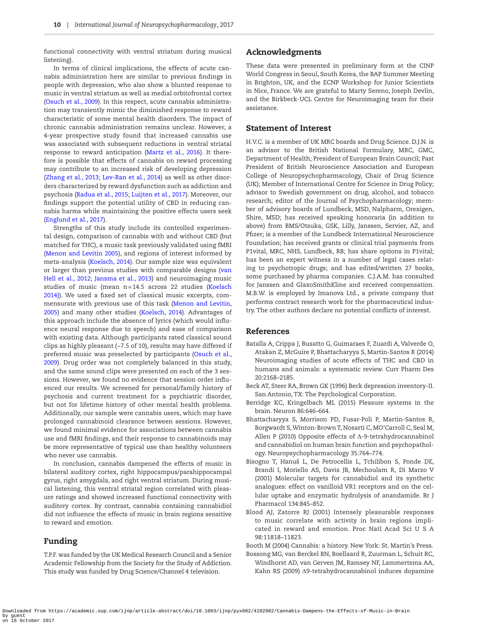functional connectivity with ventral striatum during musical listening).

In terms of clinical implications, the effects of acute cannabis administration here are similar to previous findings in people with depression, who also show a blunted response to music in ventral striatum as well as medial orbitofrontal cortex ([Osuch et al., 2009](#page-10-30)). In this respect, acute cannabis administration may transiently mimic the diminished response to reward characteristic of some mental health disorders. The impact of chronic cannabis administration remains unclear. However, a 4-year prospective study found that increased cannabis use was associated with subsequent reductions in ventral striatal response to reward anticipation ([Martz et al., 2016](#page-10-31)). It therefore is possible that effects of cannabis on reward processing may contribute to an increased risk of developing depression ([Zhang et al., 2013](#page-11-12); [Lev-Ran et al., 2014](#page-10-32)) as well as other disorders characterized by reward dysfunction such as addiction and psychosis [\(Radua et al., 2015;](#page-11-13) [Luijten et al., 2017](#page-10-33)). Moreover, our findings support the potential utility of CBD in reducing cannabis harms while maintaining the positive effects users seek ([Englund et al., 2017\)](#page-10-1).

Strengths of this study include its controlled experimental design, comparison of cannabis with and without CBD (but matched for THC), a music task previously validated using fMRI ([Menon and Levitin 2005](#page-10-14)), and regions of interest informed by meta-analysis [\(Koelsch, 2014](#page-10-10)). Our sample size was equivalent or larger than previous studies with comparable designs ([van](#page-11-5)  [Hell et al., 2012](#page-11-5); [Jansma et al., 2013\)](#page-10-28) and neuroimaging music studies of music (mean n=14.5 across 22 studies ([Koelsch](#page-10-10)  [2014\)\)](#page-10-10). We used a fixed set of classical music excerpts, commensurate with previous use of this task ([Menon and Levitin,](#page-10-14)  [2005](#page-10-14)) and many other studies ([Koelsch, 2014\)](#page-10-10). Advantages of this approach include the absence of lyrics (which would influence neural response due to speech) and ease of comparison with existing data. Although participants rated classical sound clips as highly pleasant (~7.5 of 10), results may have differed if preferred music was preselected by participants ([Osuch et al.,](#page-10-30)  [2009](#page-10-30)). Drug order was not completely balanced in this study, and the same sound clips were presented on each of the 3 sessions. However, we found no evidence that session order influenced our results. We screened for personal/family history of psychosis and current treatment for a psychiatric disorder, but not for lifetime history of other mental health problems. Additionally, our sample were cannabis users, which may have prolonged cannabinoid clearance between sessions. However, we found minimal evidence for associations between cannabis use and fMRI findings, and their response to cannabinoids may be more representative of typical use than healthy volunteers who never use cannabis.

In conclusion, cannabis dampened the effects of music in bilateral auditory cortex, right hippocampus/parahippocampal gyrus, right amygdala, and right ventral striatum. During musical listening, this ventral striatal region correlated with pleasure ratings and showed increased functional connectivity with auditory cortex. By contrast, cannabis containing cannabidiol did not influence the effects of music in brain regions sensitive to reward and emotion.

# Funding

T.P.F. was funded by the UK Medical Research Council and a Senior Academic Fellowship from the Society for the Study of Addiction. This study was funded by Drug Science/Channel 4 television.

## Acknowledgments

These data were presented in preliminary form at the CINP World Congress in Seoul, South Korea, the BAP Summer Meeting in Brighton, UK, and the ECNP Workshop for Junior Scientists in Nice, France. We are grateful to Marty Sereno, Joseph Devlin, and the Birkbeck-UCL Centre for Neuroimaging team for their assistance.

# Statement of Interest

H.V.C. is a member of UK MRC boards and Drug Science. D.J.N. is an advisor to the British National Formulary, MRC, GMC, Department of Health; President of European Brain Council; Past President of British Neuroscience Association and European College of Neuropsychopharmacology, Chair of Drug Science (UK); Member of International Centre for Science in Drug Policy; advisor to Swedish government on drug, alcohol, and tobacco research; editor of the Journal of Psychopharmacology; member of advisory boards of Lundbeck, MSD, Nalpharm, Orexigen, Shire, MSD; has received speaking honoraria (in addition to above) from BMS/Otsuka, GSK, Lilly, Janssen, Servier, AZ, and Pfizer; is a member of the Lundbeck International Neuroscience Foundation; has received grants or clinical trial payments from P1vital, MRC, NHS, Lundbeck, RB; has share options in P1vital; has been an expert witness in a number of legal cases relating to psychotropic drugs; and has edited/written 27 books, some purchased by pharma companies. C.J.A.M. has consulted for Janssen and GlaxoSmithKline and received compensation. M.B.W. is employed by Imanova Ltd., a private company that performs contract research work for the pharmaceutical industry. The other authors declare no potential conflicts of interest.

## References

- <span id="page-9-1"></span>Batalla A, Crippa J, Busatto G, Guimaraes F, Zuardi A, Valverde O, Atakan Z, McGuire P, Bhattacharyya S, Martin-Santos R (2014) Neuroimaging studies of acute effects of THC and CBD in humans and animals: a systematic review. Curr Pharm Des 20:2168–2185.
- <span id="page-9-5"></span>Beck AT, Steer RA, Brown GK (1996) Beck depression inventory-II. San Antonio, TX: The Psychological Corporation.
- <span id="page-9-3"></span>Berridge KC, Kringelbach ML (2015) Pleasure systems in the brain. Neuron 86:646–664.
- <span id="page-9-0"></span>Bhattacharyya S, Morrison PD, Fusar-Poli P, Martin-Santos R, Borgwardt S, Winton-Brown T, Nosarti C, MO'Carroll C, Seal M, Allen P (2010) Opposite effects of Δ-9-tetrahydrocannabinol and cannabidiol on human brain function and psychopathology. Neuropsychopharmacology 35:764–774.
- <span id="page-9-7"></span>Bisogno T, Hanuš L, De Petrocellis L, Tchilibon S, Ponde DE, Brandi I, Moriello AS, Davis JB, Mechoulam R, Di Marzo V (2001) Molecular targets for cannabidiol and its synthetic analogues: effect on vanilloid VR1 receptors and on the cellular uptake and enzymatic hydrolysis of anandamide. Br J Pharmacol 134:845–852.
- <span id="page-9-4"></span>Blood AJ, Zatorre RJ (2001) Intensely pleasurable responses to music correlate with activity in brain regions implicated in reward and emotion. Proc Natl Acad Sci U S A 98:11818–11823.

<span id="page-9-2"></span>Booth M (2004) Cannabis: a history. New York: St. Martin's Press.

<span id="page-9-6"></span>Bossong MG, van Berckel BN, Boellaard R, Zuurman L, Schuit RC, Windhorst AD, van Gerven JM, Ramsey NF, Lammertsma AA, Kahn RS (2009) Δ9-tetrahydrocannabinol induces dopamine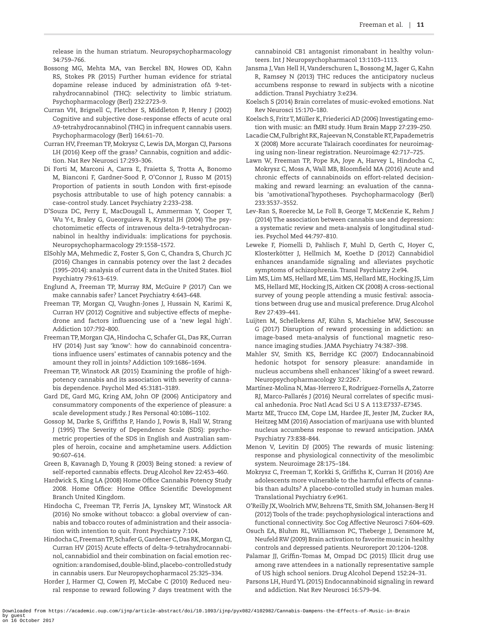release in the human striatum. Neuropsychopharmacology 34:759–766.

- <span id="page-10-13"></span>Bossong MG, Mehta MA, van Berckel BN, Howes OD, Kahn RS, Stokes PR (2015) Further human evidence for striatal dopamine release induced by administration of∆ 9-tetrahydrocannabinol (THC): selectivity to limbic striatum. Psychopharmacology (Berl) 232:2723–9.
- <span id="page-10-6"></span>Curran VH, Brignell C, Fletcher S, Middleton P, Henry J (2002) Cognitive and subjective dose-response effects of acute oral Δ9-tetrahydrocannabinol (THC) in infrequent cannabis users. Psychopharmacology (Berl) 164:61–70.
- <span id="page-10-0"></span>Curran HV, Freeman TP, Mokrysz C, Lewis DA, Morgan CJ, Parsons LH (2016) Keep off the grass? Cannabis, cognition and addiction. Nat Rev Neurosci 17:293–306.
- <span id="page-10-4"></span>Di Forti M, Marconi A, Carra E, Fraietta S, Trotta A, Bonomo M, Bianconi F, Gardner-Sood P, O'Connor J, Russo M (2015) Proportion of patients in south London with first-episode psychosis attributable to use of high potency cannabis: a case-control study. Lancet Psychiatry 2:233–238.
- <span id="page-10-17"></span>D'Souza DC, Perry E, MacDougall L, Ammerman Y, Cooper T, Wu Y-t, Braley G, Gueorguieva R, Krystal JH (2004) The psychotomimetic effects of intravenous delta-9-tetrahydrocannabinol in healthy individuals: implications for psychosis. Neuropsychopharmacology 29:1558–1572.
- <span id="page-10-3"></span>ElSohly MA, Mehmedic Z, Foster S, Gon C, Chandra S, Church JC (2016) Changes in cannabis potency over the last 2 decades (1995–2014): analysis of current data in the United States. Biol Psychiatry 79:613–619.
- <span id="page-10-1"></span>Englund A, Freeman TP, Murray RM, McGuire P (2017) Can we make cannabis safer? Lancet Psychiatry 4:643–648.
- <span id="page-10-21"></span>Freeman TP, Morgan CJ, Vaughn-Jones J, Hussain N, Karimi K, Curran HV (2012) Cognitive and subjective effects of mephedrone and factors influencing use of a 'new legal high'. Addiction 107:792–800.
- <span id="page-10-24"></span>Freeman TP, Morgan CJA, Hindocha C, Schafer GL, Das RK, Curran HV (2014) Just say 'know': how do cannabinoid concentrations influence users' estimates of cannabis potency and the amount they roll in joints? Addiction 109:1686–1694.
- <span id="page-10-5"></span>Freeman TP, Winstock AR (2015) Examining the profile of highpotency cannabis and its association with severity of cannabis dependence. Psychol Med 45:3181–3189.
- <span id="page-10-23"></span>Gard DE, Gard MG, Kring AM, John OP (2006) Anticipatory and consummatory components of the experience of pleasure: a scale development study. J Res Personal 40:1086–1102.
- <span id="page-10-22"></span>Gossop M, Darke S, Griffiths P, Hando J, Powis B, Hall W, Strang J (1995) The Severity of Dependence Scale (SDS): psychometric properties of the SDS in English and Australian samples of heroin, cocaine and amphetamine users. Addiction 90:607–614.
- <span id="page-10-7"></span>Green B, Kavanagh D, Young R (2003) Being stoned: a review of self-reported cannabis effects. Drug Alcohol Rev 22:453–460.
- <span id="page-10-2"></span>Hardwick S, King LA (2008) Home Office Cannabis Potency Study 2008. Home Office: Home Office Scientific Development Branch United Kingdom.
- <span id="page-10-20"></span>Hindocha C, Freeman TP, Ferris JA, Lynskey MT, Winstock AR (2016) No smoke without tobacco: a global overview of cannabis and tobacco routes of administration and their association with intention to quit. Front Psychiatry 7:104.
- <span id="page-10-18"></span>Hindocha C, Freeman TP, Schafer G, Gardener C, Das RK, Morgan CJ, Curran HV (2015) Acute effects of delta-9-tetrahydrocannabinol, cannabidiol and their combination on facial emotion recognition: a randomised, double-blind, placebo-controlled study in cannabis users. Eur Neuropsychopharmacol 25:325–334.
- <span id="page-10-12"></span>Horder J, Harmer CJ, Cowen PJ, McCabe C (2010) Reduced neural response to reward following 7 days treatment with the

cannabinoid CB1 antagonist rimonabant in healthy volunteers. Int J Neuropsychopharmacol 13:1103–1113.

- <span id="page-10-28"></span>Jansma J, Van Hell H, Vanderschuren L, Bossong M, Jager G, Kahn R, Ramsey N (2013) THC reduces the anticipatory nucleus accumbens response to reward in subjects with a nicotine addiction. Transl Psychiatry 3:e234.
- <span id="page-10-10"></span>Koelsch S (2014) Brain correlates of music-evoked emotions. Nat Rev Neurosci 15:170–180.
- <span id="page-10-15"></span>Koelsch S, Fritz T, Müller K, Friederici AD (2006) Investigating emotion with music: an fMRI study. Hum Brain Mapp 27:239–250.
- <span id="page-10-26"></span>Lacadie CM, Fulbright RK, Rajeevan N, Constable RT, Papademetris X (2008) More accurate Talairach coordinates for neuroimaging using non-linear registration. Neuroimage 42:717–725.
- <span id="page-10-19"></span>Lawn W, Freeman TP, Pope RA, Joye A, Harvey L, Hindocha C, Mokrysz C, Moss A, Wall MB, Bloomfield MA (2016) Acute and chronic effects of cannabinoids on effort-related decisionmaking and reward learning: an evaluation of the cannabis 'amotivational'hypotheses. Psychopharmacology (Berl) 233:3537–3552.
- <span id="page-10-32"></span>Lev-Ran S, Roerecke M, Le Foll B, George T, McKenzie K, Rehm J (2014) The association between cannabis use and depression: a systematic review and meta-analysis of longitudinal studies. Psychol Med 44:797–810.
- <span id="page-10-29"></span>Leweke F, Piomelli D, Pahlisch F, Muhl D, Gerth C, Hoyer C, Klosterkötter J, Hellmich M, Koethe D (2012) Cannabidiol enhances anandamide signaling and alleviates psychotic symptoms of schizophrenia. Transl Psychiatry 2:e94.
- <span id="page-10-8"></span>Lim MS, Lim MS, Hellard ME, Lim MS, Hellard ME, Hocking JS, Lim MS, Hellard ME, Hocking JS, Aitken CK (2008) A cross-sectional survey of young people attending a music festival: associations between drug use and musical preference. Drug Alcohol Rev 27:439–441.
- <span id="page-10-33"></span>Luijten M, Schellekens AF, Kühn S, Machielse MW, Sescousse G (2017) Disruption of reward processing in addiction: an image-based meta-analysis of functional magnetic resonance imaging studies. JAMA Psychiatry 74:387–398.
- <span id="page-10-11"></span>Mahler SV, Smith KS, Berridge KC (2007) Endocannabinoid hedonic hotspot for sensory pleasure: anandamide in nucleus accumbens shell enhances' liking'of a sweet reward. Neuropsychopharmacology 32:2267.
- <span id="page-10-16"></span>Martínez-Molina N, Mas-Herrero E, Rodríguez-Fornells A, Zatorre RJ, Marco-Pallarés J (2016) Neural correlates of specific musical anhedonia. Proc Natl Acad Sci U S A 113:E7337–E7345.
- <span id="page-10-31"></span>Martz ME, Trucco EM, Cope LM, Hardee JE, Jester JM, Zucker RA, Heitzeg MM (2016) Association of marijuana use with blunted nucleus accumbens response to reward anticipation. JAMA Psychiatry 73:838–844.
- <span id="page-10-14"></span>Menon V, Levitin DJ (2005) The rewards of music listening: response and physiological connectivity of the mesolimbic system. Neuroimage 28:175–184.
- Mokrysz C, Freeman T, Korkki S, Griffiths K, Curran H (2016) Are adolescents more vulnerable to the harmful effects of cannabis than adults? A placebo-controlled study in human males. Translational Psychiatry 6:e961.
- <span id="page-10-25"></span>O'Reilly JX, Woolrich MW, Behrens TE, Smith SM, Johansen-Berg H (2012) Tools of the trade: psychophysiological interactions and functional connectivity. Soc Cog Affective Neurosci 7:604–609.
- <span id="page-10-30"></span>Osuch EA, Bluhm RL, Williamson PC, Theberge J, Densmore M, Neufeld RW (2009) Brain activation to favorite music in healthy controls and depressed patients. Neuroreport 20:1204–1208.
- <span id="page-10-9"></span>Palamar JJ, Griffin-Tomas M, Ompad DC (2015) Illicit drug use among rave attendees in a nationally representative sample of US high school seniors. Drug Alcohol Depend 152:24–31.
- <span id="page-10-27"></span>Parsons LH, Hurd YL (2015) Endocannabinoid signaling in reward and addiction. Nat Rev Neurosci 16:579–94.